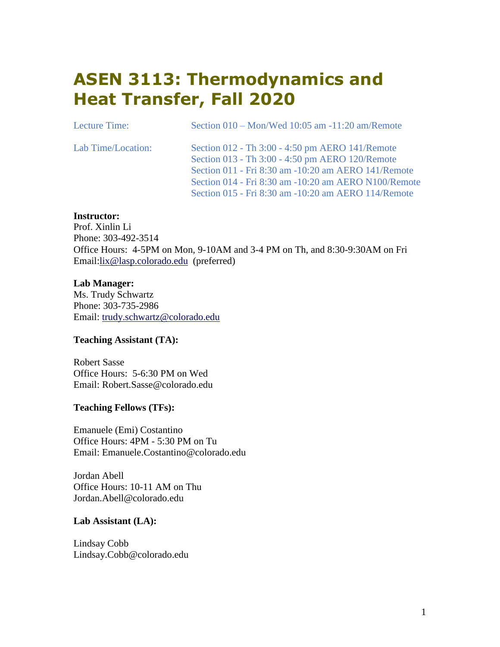# **ASEN 3113: Thermodynamics and Heat Transfer, Fall 2020**

| Lecture Time:      | Section $010 - \text{Mon/Wed } 10:05$ am $-11:20$ am/Remote |
|--------------------|-------------------------------------------------------------|
| Lab Time/Location: | Section 012 - Th 3:00 - 4:50 pm AERO 141/Remote             |
|                    | Section 013 - Th 3:00 - 4:50 pm AERO 120/Remote             |
|                    | Section 011 - Fri 8:30 am -10:20 am AERO 141/Remote         |
|                    | Section 014 - Fri 8:30 am -10:20 am AERO N100/Remote        |
|                    | Section 015 - Fri 8:30 am -10:20 am AERO 114/Remote         |

#### **Instructor:**

Prof. Xinlin Li Phone: 303-492-3514 Office Hours: 4-5PM on Mon, 9-10AM and 3-4 PM on Th, and 8:30-9:30AM on Fri Email[:lix@lasp.colorado.edu](mailto:%20lix@lasp.colorado.edu) (preferred)

### **Lab Manager:**

Ms. Trudy Schwartz Phone: 303-735-2986 Email: [trudy.schwartz@colorado.edu](mailto:%20trudy.schwartz@colorado.edu)

### **Teaching Assistant (TA):**

Robert Sasse Office Hours: 5-6:30 PM on Wed Email: Robert.Sasse@colorado.edu

### **Teaching Fellows (TFs):**

Emanuele (Emi) Costantino Office Hours: 4PM - 5:30 PM on Tu Email: Emanuele.Costantino@colorado.edu

Jordan Abell Office Hours: 10-11 AM on Thu Jordan.Abell@colorado.edu

#### **Lab Assistant (LA):**

Lindsay Cobb Lindsay.Cobb@colorado.edu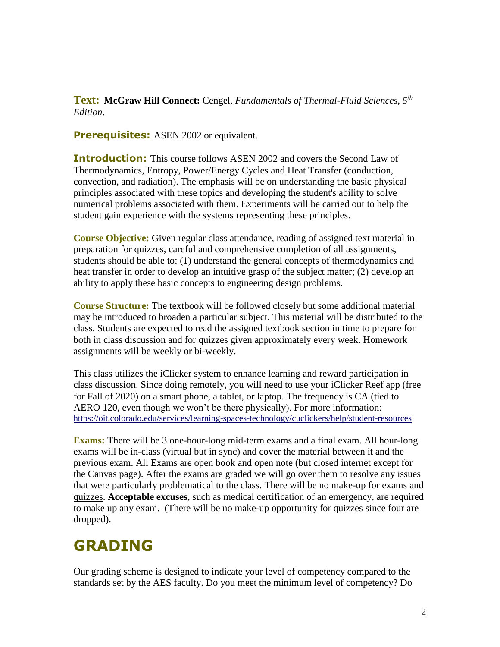**Text: McGraw Hill Connect:** Cengel, *Fundamentals of Thermal-Fluid Sciences, 5th Edition*.

**Prerequisites:** ASEN 2002 or equivalent.

**Introduction:** This course follows ASEN 2002 and covers the Second Law of Thermodynamics, Entropy, Power/Energy Cycles and Heat Transfer (conduction, convection, and radiation). The emphasis will be on understanding the basic physical principles associated with these topics and developing the student's ability to solve numerical problems associated with them. Experiments will be carried out to help the student gain experience with the systems representing these principles.

**Course Objective:** Given regular class attendance, reading of assigned text material in preparation for quizzes, careful and comprehensive completion of all assignments, students should be able to: (1) understand the general concepts of thermodynamics and heat transfer in order to develop an intuitive grasp of the subject matter; (2) develop an ability to apply these basic concepts to engineering design problems.

**Course Structure:** The textbook will be followed closely but some additional material may be introduced to broaden a particular subject. This material will be distributed to the class. Students are expected to read the assigned textbook section in time to prepare for both in class discussion and for quizzes given approximately every week. Homework assignments will be weekly or bi-weekly.

This class utilizes the iClicker system to enhance learning and reward participation in class discussion. Since doing remotely, you will need to use your iClicker Reef app (free for Fall of 2020) on a smart phone, a tablet, or laptop. The frequency is CA (tied to AERO 120, even though we won't be there physically). For more information: <https://oit.colorado.edu/services/learning-spaces-technology/cuclickers/help/student-resources>

**Exams:** There will be 3 one-hour-long mid-term exams and a final exam. All hour-long exams will be in-class (virtual but in sync) and cover the material between it and the previous exam. All Exams are open book and open note (but closed internet except for the Canvas page). After the exams are graded we will go over them to resolve any issues that were particularly problematical to the class. There will be no make-up for exams and quizzes. **Acceptable excuses**, such as medical certification of an emergency, are required to make up any exam. (There will be no make-up opportunity for quizzes since four are dropped).

# **GRADING**

Our grading scheme is designed to indicate your level of competency compared to the standards set by the AES faculty. Do you meet the minimum level of competency? Do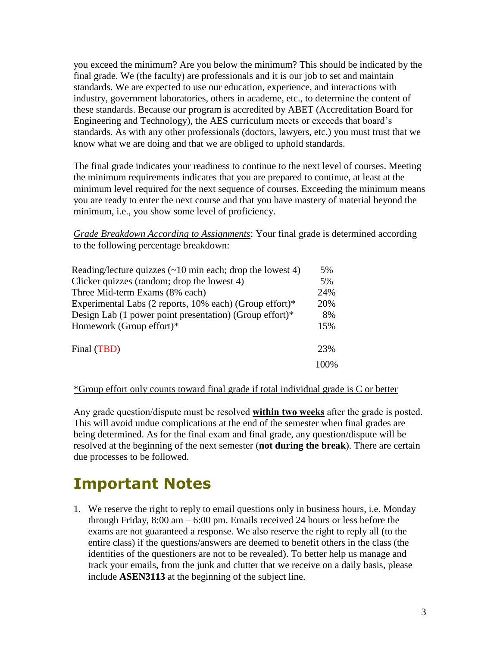you exceed the minimum? Are you below the minimum? This should be indicated by the final grade. We (the faculty) are professionals and it is our job to set and maintain standards. We are expected to use our education, experience, and interactions with industry, government laboratories, others in academe, etc., to determine the content of these standards. Because our program is accredited by ABET (Accreditation Board for Engineering and Technology), the AES curriculum meets or exceeds that board's standards. As with any other professionals (doctors, lawyers, etc.) you must trust that we know what we are doing and that we are obliged to uphold standards.

The final grade indicates your readiness to continue to the next level of courses. Meeting the minimum requirements indicates that you are prepared to continue, at least at the minimum level required for the next sequence of courses. Exceeding the minimum means you are ready to enter the next course and that you have mastery of material beyond the minimum, i.e., you show some level of proficiency.

*Grade Breakdown According to Assignments*: Your final grade is determined according to the following percentage breakdown:

| Reading/lecture quizzes $(\sim 10 \text{ min each};$ drop the lowest 4) | 5%   |
|-------------------------------------------------------------------------|------|
| Clicker quizzes (random; drop the lowest 4)                             |      |
| Three Mid-term Exams (8% each)                                          |      |
| Experimental Labs (2 reports, 10% each) (Group effort)*                 |      |
| Design Lab (1 power point presentation) (Group effort)*                 | 8%   |
| Homework (Group effort)*                                                | 15%  |
| Final (TBD)                                                             |      |
|                                                                         | 100% |

### \*Group effort only counts toward final grade if total individual grade is C or better

Any grade question/dispute must be resolved **within two weeks** after the grade is posted. This will avoid undue complications at the end of the semester when final grades are being determined. As for the final exam and final grade, any question/dispute will be resolved at the beginning of the next semester (**not during the break**). There are certain due processes to be followed.

# **Important Notes**

1. We reserve the right to reply to email questions only in business hours, i.e. Monday through Friday, 8:00 am – 6:00 pm. Emails received 24 hours or less before the exams are not guaranteed a response. We also reserve the right to reply all (to the entire class) if the questions/answers are deemed to benefit others in the class (the identities of the questioners are not to be revealed). To better help us manage and track your emails, from the junk and clutter that we receive on a daily basis, please include **ASEN3113** at the beginning of the subject line.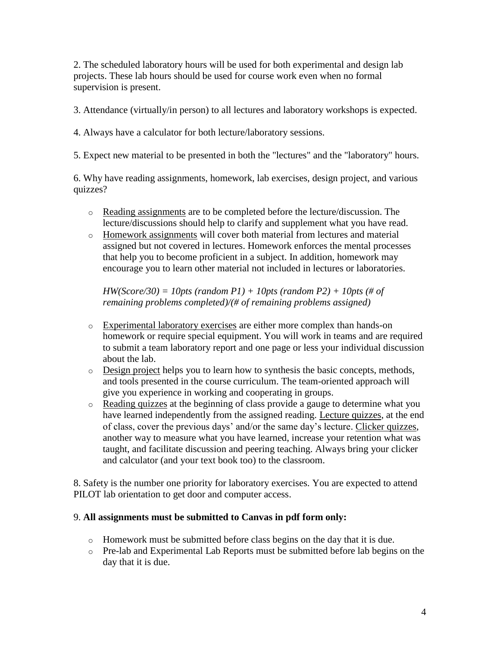2. The scheduled laboratory hours will be used for both experimental and design lab projects. These lab hours should be used for course work even when no formal supervision is present.

3. Attendance (virtually/in person) to all lectures and laboratory workshops is expected.

4. Always have a calculator for both lecture/laboratory sessions.

5. Expect new material to be presented in both the "lectures" and the "laboratory" hours.

6. Why have reading assignments, homework, lab exercises, design project, and various quizzes?

- o Reading assignments are to be completed before the lecture/discussion. The lecture/discussions should help to clarify and supplement what you have read.
- o Homework assignments will cover both material from lectures and material assigned but not covered in lectures. Homework enforces the mental processes that help you to become proficient in a subject. In addition, homework may encourage you to learn other material not included in lectures or laboratories.

*HW(Score/30) = 10pts (random P1) + 10pts (random P2) + 10pts (# of remaining problems completed)/(# of remaining problems assigned)*

- o Experimental laboratory exercises are either more complex than hands-on homework or require special equipment. You will work in teams and are required to submit a team laboratory report and one page or less your individual discussion about the lab.
- o Design project helps you to learn how to synthesis the basic concepts, methods, and tools presented in the course curriculum. The team-oriented approach will give you experience in working and cooperating in groups.
- o Reading quizzes at the beginning of class provide a gauge to determine what you have learned independently from the assigned reading. Lecture quizzes, at the end of class, cover the previous days' and/or the same day's lecture. Clicker quizzes, another way to measure what you have learned, increase your retention what was taught, and facilitate discussion and peering teaching. Always bring your clicker and calculator (and your text book too) to the classroom.

8. Safety is the number one priority for laboratory exercises. You are expected to attend PILOT lab orientation to get door and computer access.

## 9. **All assignments must be submitted to Canvas in pdf form only:**

- $\circ$  Homework must be submitted before class begins on the day that it is due.
- o Pre-lab and Experimental Lab Reports must be submitted before lab begins on the day that it is due.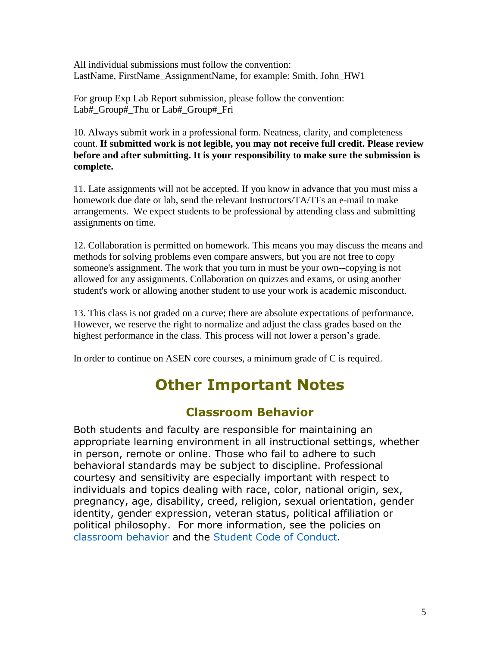All individual submissions must follow the convention: LastName, FirstName\_AssignmentName, for example: Smith, John\_HW1

For group Exp Lab Report submission, please follow the convention: Lab# Group# Thu or Lab# Group# Fri

10. Always submit work in a professional form. Neatness, clarity, and completeness count. **If submitted work is not legible, you may not receive full credit. Please review before and after submitting. It is your responsibility to make sure the submission is complete.** 

11. Late assignments will not be accepted. If you know in advance that you must miss a homework due date or lab, send the relevant Instructors/TA/TFs an e-mail to make arrangements. We expect students to be professional by attending class and submitting assignments on time.

12. Collaboration is permitted on homework. This means you may discuss the means and methods for solving problems even compare answers, but you are not free to copy someone's assignment. The work that you turn in must be your own--copying is not allowed for any assignments. Collaboration on quizzes and exams, or using another student's work or allowing another student to use your work is academic misconduct.

13. This class is not graded on a curve; there are absolute expectations of performance. However, we reserve the right to normalize and adjust the class grades based on the highest performance in the class. This process will not lower a person's grade.

In order to continue on ASEN core courses, a minimum grade of C is required.

# **Other Important Notes**

## **Classroom Behavior**

Both students and faculty are responsible for maintaining an appropriate learning environment in all instructional settings, whether in person, remote or online. Those who fail to adhere to such behavioral standards may be subject to discipline. Professional courtesy and sensitivity are especially important with respect to individuals and topics dealing with race, color, national origin, sex, pregnancy, age, disability, creed, religion, sexual orientation, gender identity, gender expression, veteran status, political affiliation or political philosophy. For more information, see the policies on [classroom behavior](http://www.colorado.edu/policies/student-classroom-and-course-related-behavior) and the [Student Code of Conduct.](https://www.colorado.edu/sccr/sites/default/files/attached-files/2019-2020_student_code_of_conduct_0.pdf)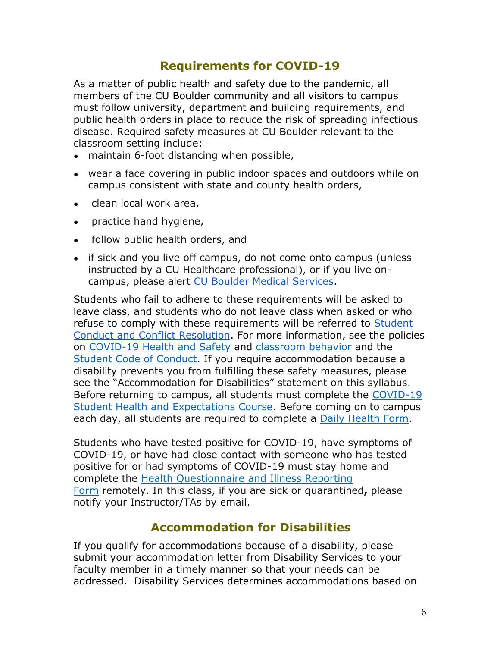# **Requirements for COVID-19**

As a matter of public health and safety due to the pandemic, all members of the CU Boulder community and all visitors to campus must follow university, department and building requirements, and public health orders in place to reduce the risk of spreading infectious disease. Required safety measures at CU Boulder relevant to the classroom setting include:

- maintain 6-foot distancing when possible,
- wear a face covering in public indoor spaces and outdoors while on campus consistent with state and county health orders,
- clean local work area,
- practice hand hygiene,
- follow public health orders, and
- if sick and you live off campus, do not come onto campus (unless instructed by a CU Healthcare professional), or if you live oncampus, please alert [CU Boulder Medical Services.](https://www.colorado.edu/healthcenter/coronavirus-updates/symptoms-and-what-do-if-you-feel-sick)

Students who fail to adhere to these requirements will be asked to leave class, and students who do not leave class when asked or who refuse to comply with these requirements will be referred to Student [Conduct and Conflict Resolution.](https://www.colorado.edu/sccr/) For more information, see the policies on [COVID-19 Health and Safety](https://www.colorado.edu/policies/covid-19-health-and-safety-policy) and [classroom behavior](http://www.colorado.edu/policies/student-classroom-and-course-related-behavior) and the [Student Code of Conduct.](http://www.colorado.edu/osccr/) If you require accommodation because a disability prevents you from fulfilling these safety measures, please see the "Accommodation for Disabilities" statement on this syllabus. Before returning to campus, all students must complete the [COVID-19](https://www.colorado.edu/protect-our-herd/how#anchor1)  [Student Health and Expectations Course.](https://www.colorado.edu/protect-our-herd/how#anchor1) Before coming on to campus each day, all students are required to complete a [Daily Health Form.](https://www.colorado.edu/protect-our-herd/daily-health-form)

Students who have tested positive for COVID-19, have symptoms of COVID-19, or have had close contact with someone who has tested positive for or had symptoms of COVID-19 must stay home and complete the [Health Questionnaire and Illness Reporting](https://www.colorado.edu/protect-our-herd/daily-health-form)  [Form](https://www.colorado.edu/protect-our-herd/daily-health-form) remotely. In this class, if you are sick or quarantined**,** please notify your Instructor/TAs by email.

## **Accommodation for Disabilities**

If you qualify for accommodations because of a disability, please submit your accommodation letter from Disability Services to your faculty member in a timely manner so that your needs can be addressed. Disability Services determines accommodations based on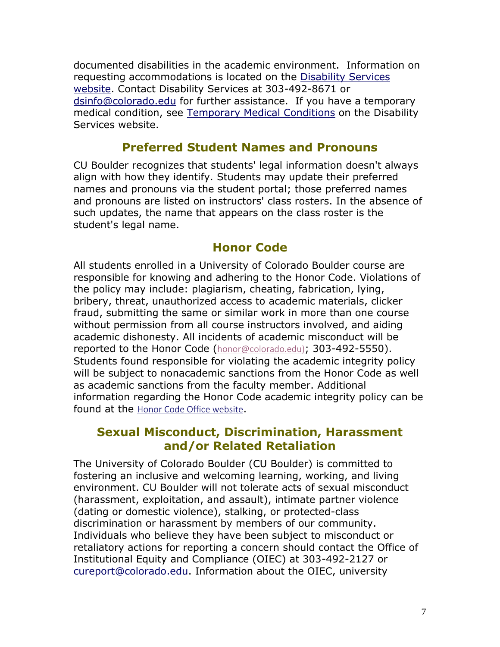documented disabilities in the academic environment. Information on requesting accommodations is located on the [Disability Services](https://www.colorado.edu/disabilityservices/)  [website.](https://www.colorado.edu/disabilityservices/) Contact Disability Services at 303-492-8671 or [dsinfo@colorado.edu](mailto:dsinfo@colorado.edu) for further assistance. If you have a temporary medical condition, see [Temporary Medical Conditions](http://www.colorado.edu/disabilityservices/students/temporary-medical-conditions) on the Disability Services website.

## **Preferred Student Names and Pronouns**

CU Boulder recognizes that students' legal information doesn't always align with how they identify. Students may update their preferred names and pronouns via the student portal; those preferred names and pronouns are listed on instructors' class rosters. In the absence of such updates, the name that appears on the class roster is the student's legal name.

## **Honor Code**

All students enrolled in a University of Colorado Boulder course are responsible for knowing and adhering to the Honor Code. Violations of the policy may include: plagiarism, cheating, fabrication, lying, bribery, threat, unauthorized access to academic materials, clicker fraud, submitting the same or similar work in more than one course without permission from all course instructors involved, and aiding academic dishonesty. All incidents of academic misconduct will be reported to the Honor Code ([honor@colorado.edu\)](mailto:honor@colorado.edu); 303-492-5550). Students found responsible for violating the academic integrity policy will be subject to nonacademic sanctions from the Honor Code as well as academic sanctions from the faculty member. Additional information regarding the Honor Code academic integrity policy can be found at the [Honor Code Office website](https://www.colorado.edu/osccr/honor-code).

## **Sexual Misconduct, Discrimination, Harassment and/or Related Retaliation**

The University of Colorado Boulder (CU Boulder) is committed to fostering an inclusive and welcoming learning, working, and living environment. CU Boulder will not tolerate acts of sexual misconduct (harassment, exploitation, and assault), intimate partner violence (dating or domestic violence), stalking, or protected-class discrimination or harassment by members of our community. Individuals who believe they have been subject to misconduct or retaliatory actions for reporting a concern should contact the Office of Institutional Equity and Compliance (OIEC) at 303-492-2127 or [cureport@colorado.edu.](mailto:cureport@colorado.edu) Information about the OIEC, university